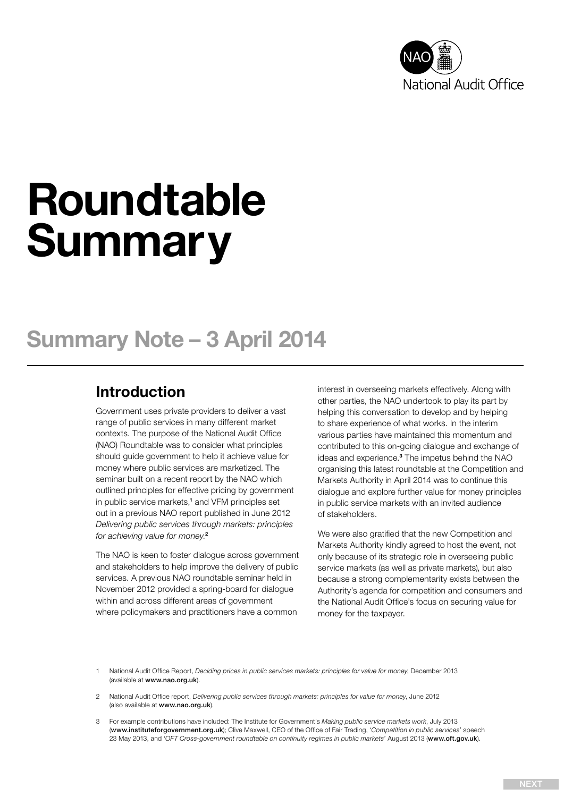

# Roundtable **Summary**

# Summary Note – 3 April 2014

### Introduction

Government uses private providers to deliver a vast range of public services in many different market contexts. The purpose of the National Audit Office (NAO) Roundtable was to consider what principles should guide government to help it achieve value for money where public services are marketized. The seminar built on a recent report by the NAO which outlined principles for effective pricing by government in public service markets,<sup>1</sup> and VFM principles set out in a previous NAO report published in June 2012 *Delivering public services through markets: principles for achieving value for money*. 2

The NAO is keen to foster dialogue across government and stakeholders to help improve the delivery of public services. A previous NAO roundtable seminar held in November 2012 provided a spring-board for dialogue within and across different areas of government where policymakers and practitioners have a common

interest in overseeing markets effectively. Along with other parties, the NAO undertook to play its part by helping this conversation to develop and by helping to share experience of what works. In the interim various parties have maintained this momentum and contributed to this on-going dialogue and exchange of ideas and experience.<sup>3</sup> The impetus behind the NAO organising this latest roundtable at the Competition and Markets Authority in April 2014 was to continue this dialogue and explore further value for money principles in public service markets with an invited audience of stakeholders.

We were also gratified that the new Competition and Markets Authority kindly agreed to host the event, not only because of its strategic role in overseeing public service markets (as well as private markets), but also because a strong complementarity exists between the Authority's agenda for competition and consumers and the National Audit Office's focus on securing value for money for the taxpayer.

1 National Audit Office Report, *Deciding prices in public services markets: principles for value for money*, December 2013 (available at <www.nao.org.uk>).

- 2 National Audit Office report, *Delivering public services through markets: principles for value for money*, June 2012 (also available at <www.nao.org.uk>).
- 3 For example contributions have included: The Institute for Government's *Making public service markets work*, July 2013 ([www.instituteforgovernment.org.uk](http://www.instituteforgovernment.org.uk/)); Clive Maxwell, CEO of the Office of Fair Trading, '*Competition in public services*' speech 23 May 2013, and '*OFT Cross-government roundtable on continuity regimes in public markets*' August 2013 (<www.oft.gov.uk>).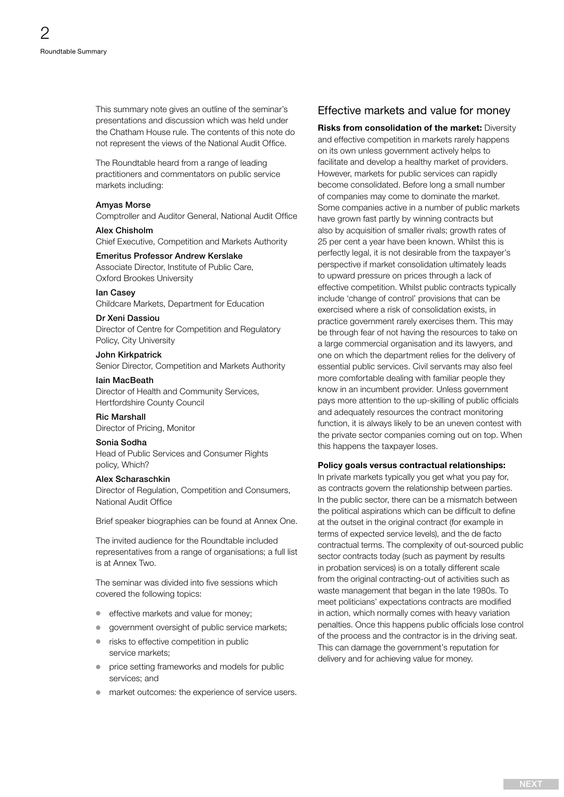<span id="page-1-0"></span>This summary note gives an outline of the seminar's presentations and discussion which was held under the Chatham House rule. The contents of this note do not represent the views of the National Audit Office.

The Roundtable heard from a range of leading practitioners and commentators on public service markets including:

#### Amyas Morse

Comptroller and Auditor General, National Audit Office

#### Alex Chisholm

Chief Executive, Competition and Markets Authority

#### Emeritus Professor Andrew Kerslake

Associate Director, Institute of Public Care, Oxford Brookes University

#### Ian Casey

Childcare Markets, Department for Education

#### Dr Xeni Dassiou

Director of Centre for Competition and Regulatory Policy, City University

#### John Kirkpatrick

Senior Director, Competition and Markets Authority

#### Iain MacBeath

Director of Health and Community Services, Hertfordshire County Council

#### Ric Marshall

Director of Pricing, Monitor

#### Sonia Sodha

Head of Public Services and Consumer Rights policy, Which?

#### Alex Scharaschkin

Director of Regulation, Competition and Consumers, National Audit Office

Brief speaker biographies can be found at Annex One.

The invited audience for the Roundtable included representatives from a range of organisations; a full list is at Annex Two.

The seminar was divided into five sessions which covered the following topics:

- effective markets and value for money;
- aovernment oversight of public service markets;
- risks to effective competition in public service markets;
- price setting frameworks and models for public services; and
- $\bullet$  market outcomes: the experience of service users.

#### Effective markets and value for money

Risks from consolidation of the market: Diversity and effective competition in markets rarely happens on its own unless government actively helps to facilitate and develop a healthy market of providers. However, markets for public services can rapidly become consolidated. Before long a small number of companies may come to dominate the market. Some companies active in a number of public markets have grown fast partly by winning contracts but also by acquisition of smaller rivals; growth rates of 25 per cent a year have been known. Whilst this is perfectly legal, it is not desirable from the taxpayer's perspective if market consolidation ultimately leads to upward pressure on prices through a lack of effective competition. Whilst public contracts typically include 'change of control' provisions that can be exercised where a risk of consolidation exists, in practice government rarely exercises them. This may be through fear of not having the resources to take on a large commercial organisation and its lawyers, and one on which the department relies for the delivery of essential public services. Civil servants may also feel more comfortable dealing with familiar people they know in an incumbent provider. Unless government pays more attention to the up-skilling of public officials and adequately resources the contract monitoring function, it is always likely to be an uneven contest with the private sector companies coming out on top. When this happens the taxpayer loses.

#### Policy goals versus contractual relationships:

In private markets typically you get what you pay for, as contracts govern the relationship between parties. In the public sector, there can be a mismatch between the political aspirations which can be difficult to define at the outset in the original contract (for example in terms of expected service levels), and the de facto contractual terms. The complexity of out-sourced public sector contracts today (such as payment by results in probation services) is on a totally different scale from the original contracting-out of activities such as waste management that began in the late 1980s. To meet politicians' expectations contracts are modified in action, which normally comes with heavy variation penalties. Once this happens public officials lose control of the process and the contractor is in the driving seat. This can damage the government's reputation for delivery and for achieving value for money.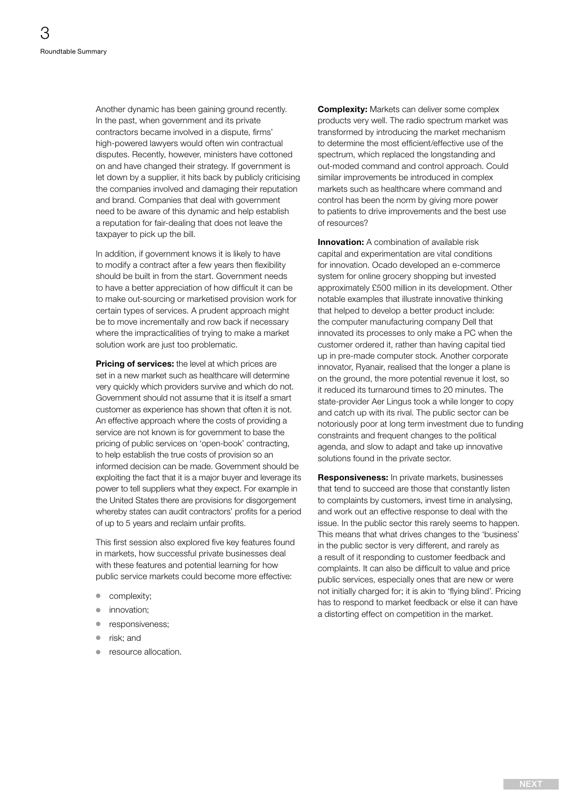<span id="page-2-0"></span>Another dynamic has been gaining ground recently. In the past, when government and its private contractors became involved in a dispute, firms' high-powered lawyers would often win contractual disputes. Recently, however, ministers have cottoned on and have changed their strategy. If government is let down by a supplier, it hits back by publicly criticising the companies involved and damaging their reputation and brand. Companies that deal with government need to be aware of this dynamic and help establish a reputation for fair-dealing that does not leave the taxpayer to pick up the bill.

In addition, if government knows it is likely to have to modify a contract after a few years then flexibility should be built in from the start. Government needs to have a better appreciation of how difficult it can be to make out-sourcing or marketised provision work for certain types of services. A prudent approach might be to move incrementally and row back if necessary where the impracticalities of trying to make a market solution work are just too problematic.

Pricing of services: the level at which prices are set in a new market such as healthcare will determine very quickly which providers survive and which do not. Government should not assume that it is itself a smart customer as experience has shown that often it is not. An effective approach where the costs of providing a service are not known is for government to base the pricing of public services on 'open-book' contracting, to help establish the true costs of provision so an informed decision can be made. Government should be exploiting the fact that it is a major buyer and leverage its power to tell suppliers what they expect. For example in the United States there are provisions for disgorgement whereby states can audit contractors' profits for a period of up to 5 years and reclaim unfair profits.

This first session also explored five key features found in markets, how successful private businesses deal with these features and potential learning for how public service markets could become more effective:

- complexity;
- innovation;
- responsiveness;
- risk: and
- resource allocation.

Complexity: Markets can deliver some complex products very well. The radio spectrum market was transformed by introducing the market mechanism to determine the most efficient/effective use of the spectrum, which replaced the longstanding and out-moded command and control approach. Could similar improvements be introduced in complex markets such as healthcare where command and control has been the norm by giving more power to patients to drive improvements and the best use of resources?

**Innovation:** A combination of available risk capital and experimentation are vital conditions for innovation. Ocado developed an e-commerce system for online grocery shopping but invested approximately £500 million in its development. Other notable examples that illustrate innovative thinking that helped to develop a better product include: the computer manufacturing company Dell that innovated its processes to only make a PC when the customer ordered it, rather than having capital tied up in pre-made computer stock. Another corporate innovator, Ryanair, realised that the longer a plane is on the ground, the more potential revenue it lost, so it reduced its turnaround times to 20 minutes. The state-provider Aer Lingus took a while longer to copy and catch up with its rival. The public sector can be notoriously poor at long term investment due to funding constraints and frequent changes to the political agenda, and slow to adapt and take up innovative solutions found in the private sector.

Responsiveness: In private markets, businesses that tend to succeed are those that constantly listen to complaints by customers, invest time in analysing, and work out an effective response to deal with the issue. In the public sector this rarely seems to happen. This means that what drives changes to the 'business' in the public sector is very different, and rarely as a result of it responding to customer feedback and complaints. It can also be difficult to value and price public services, especially ones that are new or were not initially charged for; it is akin to 'flying blind'. Pricing has to respond to market feedback or else it can have a distorting effect on competition in the market.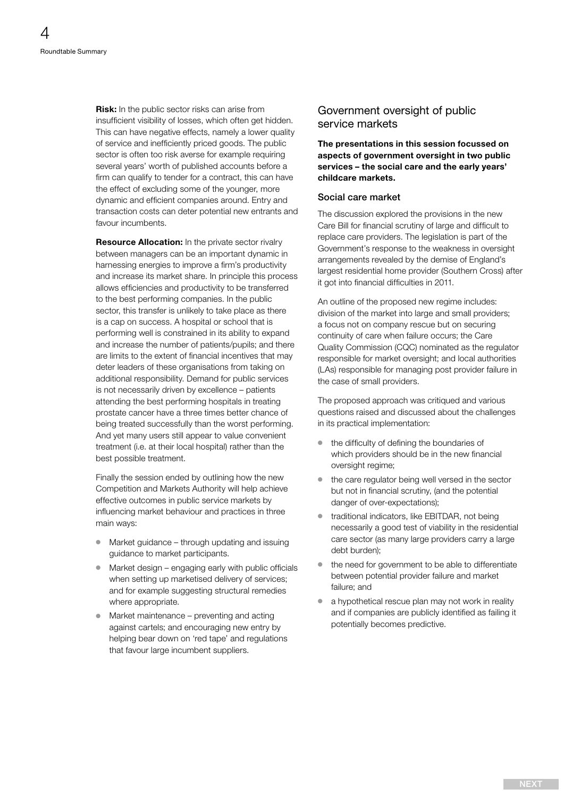<span id="page-3-0"></span>**Risk:** In the public sector risks can arise from insufficient visibility of losses, which often get hidden. This can have negative effects, namely a lower quality of service and inefficiently priced goods. The public sector is often too risk averse for example requiring several years' worth of published accounts before a firm can qualify to tender for a contract, this can have the effect of excluding some of the younger, more dynamic and efficient companies around. Entry and transaction costs can deter potential new entrants and favour incumbents.

Resource Allocation: In the private sector rivalry between managers can be an important dynamic in harnessing energies to improve a firm's productivity and increase its market share. In principle this process allows efficiencies and productivity to be transferred to the best performing companies. In the public sector, this transfer is unlikely to take place as there is a cap on success. A hospital or school that is performing well is constrained in its ability to expand and increase the number of patients/pupils; and there are limits to the extent of financial incentives that may deter leaders of these organisations from taking on additional responsibility. Demand for public services is not necessarily driven by excellence – patients attending the best performing hospitals in treating prostate cancer have a three times better chance of being treated successfully than the worst performing. And yet many users still appear to value convenient treatment (i.e. at their local hospital) rather than the best possible treatment.

Finally the session ended by outlining how the new Competition and Markets Authority will help achieve effective outcomes in public service markets by influencing market behaviour and practices in three main ways:

- Market guidance through updating and issuing guidance to market participants.
- Market design engaging early with public officials when setting up marketised delivery of services: and for example suggesting structural remedies where appropriate.
- Market maintenance preventing and acting against cartels; and encouraging new entry by helping bear down on 'red tape' and regulations that favour large incumbent suppliers.

#### Government oversight of public service markets

The presentations in this session focussed on aspects of government oversight in two public services – the social care and the early years' childcare markets.

#### Social care market

The discussion explored the provisions in the new Care Bill for financial scrutiny of large and difficult to replace care providers. The legislation is part of the Government's response to the weakness in oversight arrangements revealed by the demise of England's largest residential home provider (Southern Cross) after it got into financial difficulties in 2011.

An outline of the proposed new regime includes: division of the market into large and small providers; a focus not on company rescue but on securing continuity of care when failure occurs; the Care Quality Commission (CQC) nominated as the regulator responsible for market oversight; and local authorities (LAs) responsible for managing post provider failure in the case of small providers.

The proposed approach was critiqued and various questions raised and discussed about the challenges in its practical implementation:

- $\bullet$  the difficulty of defining the boundaries of which providers should be in the new financial oversight regime:
- $\bullet$  the care regulator being well versed in the sector but not in financial scrutiny, (and the potential danger of over-expectations);
- $\bullet$  traditional indicators, like EBITDAR, not being necessarily a good test of viability in the residential care sector (as many large providers carry a large debt burden);
- $\bullet$  the need for government to be able to differentiate between potential provider failure and market failure; and
- <sup>O</sup> a hypothetical rescue plan may not work in reality and if companies are publicly identified as failing it potentially becomes predictive.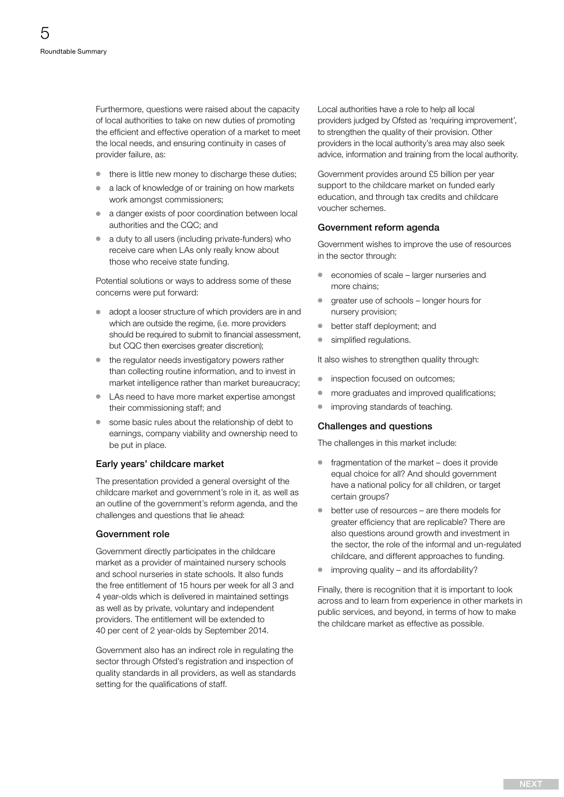<span id="page-4-0"></span>Furthermore, questions were raised about the capacity of local authorities to take on new duties of promoting the efficient and effective operation of a market to meet the local needs, and ensuring continuity in cases of provider failure, as:

- $\bullet$  there is little new money to discharge these duties;
- <sup>O</sup> a lack of knowledge of or training on how markets work amongst commissioners;
- <sup>O</sup> a danger exists of poor coordination between local authorities and the CQC; and
- <sup>O</sup> a duty to all users (including private-funders) who receive care when LAs only really know about those who receive state funding.

Potential solutions or ways to address some of these concerns were put forward:

- <sup>O</sup> adopt a looser structure of which providers are in and which are outside the regime, (i.e. more providers should be required to submit to financial assessment, but CQC then exercises greater discretion);
- $\bullet$  the regulator needs investigatory powers rather than collecting routine information, and to invest in market intelligence rather than market bureaucracy;
- <sup>O</sup> LAs need to have more market expertise amongst their commissioning staff; and
- some basic rules about the relationship of debt to earnings, company viability and ownership need to be put in place.

#### Early years' childcare market

The presentation provided a general oversight of the childcare market and government's role in it, as well as an outline of the government's reform agenda, and the challenges and questions that lie ahead:

#### Government role

Government directly participates in the childcare market as a provider of maintained nursery schools and school nurseries in state schools. It also funds the free entitlement of 15 hours per week for all 3 and 4 year-olds which is delivered in maintained settings as well as by private, voluntary and independent providers. The entitlement will be extended to 40 per cent of 2 year-olds by September 2014.

Government also has an indirect role in regulating the sector through Ofsted's registration and inspection of quality standards in all providers, as well as standards setting for the qualifications of staff.

Local authorities have a role to help all local providers judged by Ofsted as 'requiring improvement', to strengthen the quality of their provision. Other providers in the local authority's area may also seek advice, information and training from the local authority.

Government provides around £5 billion per year support to the childcare market on funded early education, and through tax credits and childcare voucher schemes.

#### Government reform agenda

Government wishes to improve the use of resources in the sector through:

- economies of scale larger nurseries and more chains;
- $\bullet$  greater use of schools longer hours for nursery provision;
- <sup>O</sup> better staff deployment; and
- simplified regulations.

It also wishes to strengthen quality through:

- $\bullet$  inspection focused on outcomes;
- more graduates and improved qualifications;
- **•** improving standards of teaching.

#### Challenges and questions

The challenges in this market include:

- $\bullet$  fragmentation of the market does it provide equal choice for all? And should government have a national policy for all children, or target certain groups?
- $\bullet$  better use of resources are there models for greater efficiency that are replicable? There are also questions around growth and investment in the sector, the role of the informal and un-regulated childcare, and different approaches to funding.
- $\bullet$  improving quality and its affordability?

Finally, there is recognition that it is important to look across and to learn from experience in other markets in public services, and beyond, in terms of how to make the childcare market as effective as possible.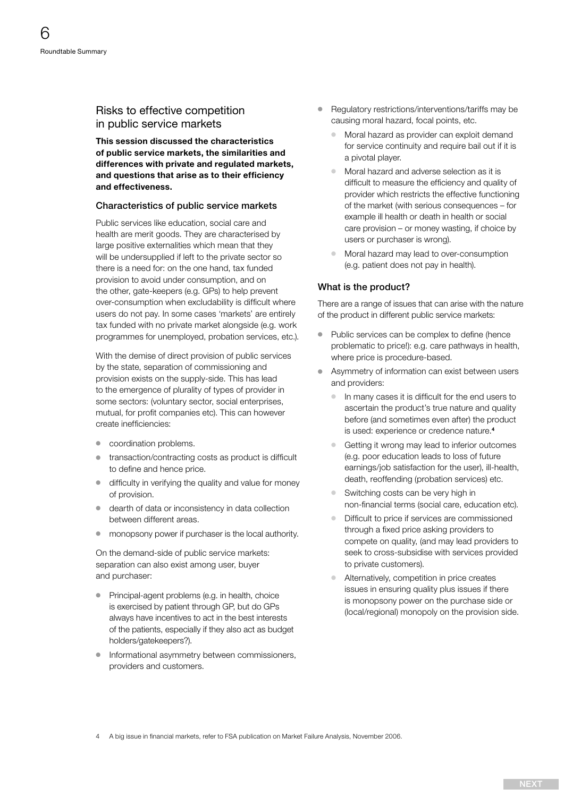#### <span id="page-5-0"></span>Risks to effective competition in public service markets

This session discussed the characteristics of public service markets, the similarities and differences with private and regulated markets, and questions that arise as to their efficiency and effectiveness.

#### Characteristics of public service markets

Public services like education, social care and health are merit goods. They are characterised by large positive externalities which mean that they will be undersupplied if left to the private sector so there is a need for: on the one hand, tax funded provision to avoid under consumption, and on the other, gate-keepers (e.g. GPs) to help prevent over-consumption when excludability is difficult where users do not pay. In some cases 'markets' are entirely tax funded with no private market alongside (e.g. work programmes for unemployed, probation services, etc.).

With the demise of direct provision of public services by the state, separation of commissioning and provision exists on the supply-side. This has lead to the emergence of plurality of types of provider in some sectors: (voluntary sector, social enterprises, mutual, for profit companies etc). This can however create inefficiencies:

- $\bullet$  coordination problems.
- transaction/contracting costs as product is difficult to define and hence price.
- $\bullet$  difficulty in verifying the quality and value for money of provision.
- dearth of data or inconsistency in data collection between different areas.
- $\bullet$  monopsony power if purchaser is the local authority.

On the demand-side of public service markets: separation can also exist among user, buyer and purchaser:

- Principal-agent problems (e.g. in health, choice is exercised by patient through GP, but do GPs always have incentives to act in the best interests of the patients, especially if they also act as budget holders/gatekeepers?).
- **•** Informational asymmetry between commissioners, providers and customers.
- <sup>O</sup> Regulatory restrictions/interventions/tariffs may be causing moral hazard, focal points, etc.
	- $\bullet$  Moral hazard as provider can exploit demand for service continuity and require bail out if it is a pivotal player.
	- $\bullet$  Moral hazard and adverse selection as it is difficult to measure the efficiency and quality of provider which restricts the effective functioning of the market (with serious consequences – for example ill health or death in health or social care provision – or money wasting, if choice by users or purchaser is wrong).
	- Moral hazard may lead to over-consumption (e.g. patient does not pay in health).

#### What is the product?

There are a range of issues that can arise with the nature of the product in different public service markets:

- Public services can be complex to define (hence problematic to price!): e.g. care pathways in health, where price is procedure-based.
- Asymmetry of information can exist between users and providers:
	- <sup>O</sup> In many cases it is difficult for the end users to ascertain the product's true nature and quality before (and sometimes even after) the product is used: experience or credence nature.<sup>4</sup>
	- <sup>O</sup> Getting it wrong may lead to inferior outcomes (e.g. poor education leads to loss of future earnings/job satisfaction for the user), ill-health, death, reoffending (probation services) etc.
	- Switching costs can be very high in non-financial terms (social care, education etc).
	- Difficult to price if services are commissioned through a fixed price asking providers to compete on quality, (and may lead providers to seek to cross-subsidise with services provided to private customers).
	- <sup>O</sup> Alternatively, competition in price creates issues in ensuring quality plus issues if there is monopsony power on the purchase side or (local/regional) monopoly on the provision side.

4 A big issue in financial markets, refer to FSA publication on Market Failure Analysis, November 2006.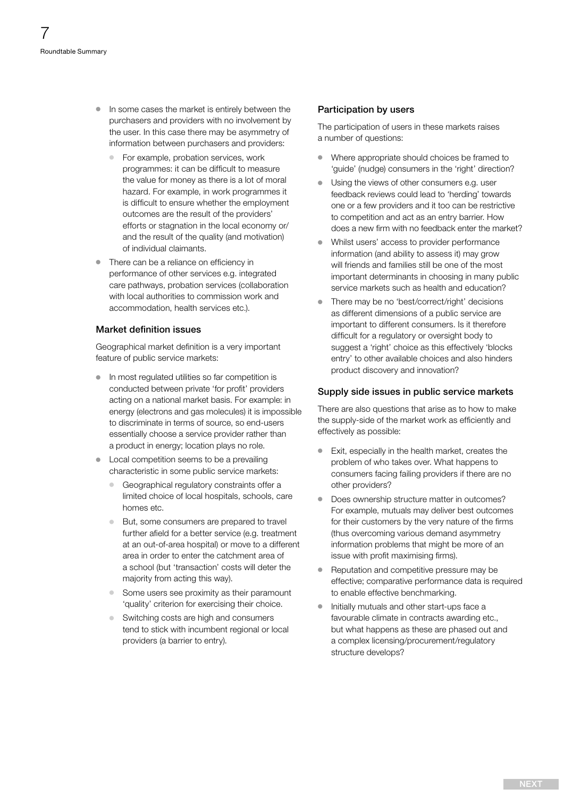- <span id="page-6-0"></span><sup>O</sup> In some cases the market is entirely between the purchasers and providers with no involvement by the user. In this case there may be asymmetry of information between purchasers and providers:
	- For example, probation services, work programmes: it can be difficult to measure the value for money as there is a lot of moral hazard. For example, in work programmes it is difficult to ensure whether the employment outcomes are the result of the providers' efforts or stagnation in the local economy or/ and the result of the quality (and motivation) of individual claimants.
- $\bullet$  There can be a reliance on efficiency in performance of other services e.g. integrated care pathways, probation services (collaboration with local authorities to commission work and accommodation, health services etc.).

#### Market definition issues

Geographical market definition is a very important feature of public service markets:

- $\bullet$  In most regulated utilities so far competition is conducted between private 'for profit' providers acting on a national market basis. For example: in energy (electrons and gas molecules) it is impossible to discriminate in terms of source, so end-users essentially choose a service provider rather than a product in energy; location plays no role.
- Local competition seems to be a prevailing characteristic in some public service markets:
	- Geographical regulatory constraints offer a limited choice of local hospitals, schools, care homes etc.
	- <sup>O</sup> But, some consumers are prepared to travel further afield for a better service (e.g. treatment at an out-of-area hospital) or move to a different area in order to enter the catchment area of a school (but 'transaction' costs will deter the majority from acting this way).
	- Some users see proximity as their paramount 'quality' criterion for exercising their choice.
	- <sup>O</sup> Switching costs are high and consumers tend to stick with incumbent regional or local providers (a barrier to entry).

#### Participation by users

The participation of users in these markets raises a number of questions:

- <sup>O</sup> Where appropriate should choices be framed to 'guide' (nudge) consumers in the 'right' direction?
- <sup>O</sup> Using the views of other consumers e.g. user feedback reviews could lead to 'herding' towards one or a few providers and it too can be restrictive to competition and act as an entry barrier. How does a new firm with no feedback enter the market?
- Whilst users' access to provider performance information (and ability to assess it) may grow will friends and families still be one of the most important determinants in choosing in many public service markets such as health and education?
- There may be no 'best/correct/right' decisions as different dimensions of a public service are important to different consumers. Is it therefore difficult for a regulatory or oversight body to suggest a 'right' choice as this effectively 'blocks entry' to other available choices and also hinders product discovery and innovation?

#### Supply side issues in public service markets

There are also questions that arise as to how to make the supply-side of the market work as efficiently and effectively as possible:

- <sup>O</sup> Exit, especially in the health market, creates the problem of who takes over. What happens to consumers facing failing providers if there are no other providers?
- Does ownership structure matter in outcomes? For example, mutuals may deliver best outcomes for their customers by the very nature of the firms (thus overcoming various demand asymmetry information problems that might be more of an issue with profit maximising firms).
- Reputation and competitive pressure may be effective; comparative performance data is required to enable effective benchmarking.
- $\bullet$  Initially mutuals and other start-ups face a favourable climate in contracts awarding etc., but what happens as these are phased out and a complex licensing/procurement/regulatory structure develops?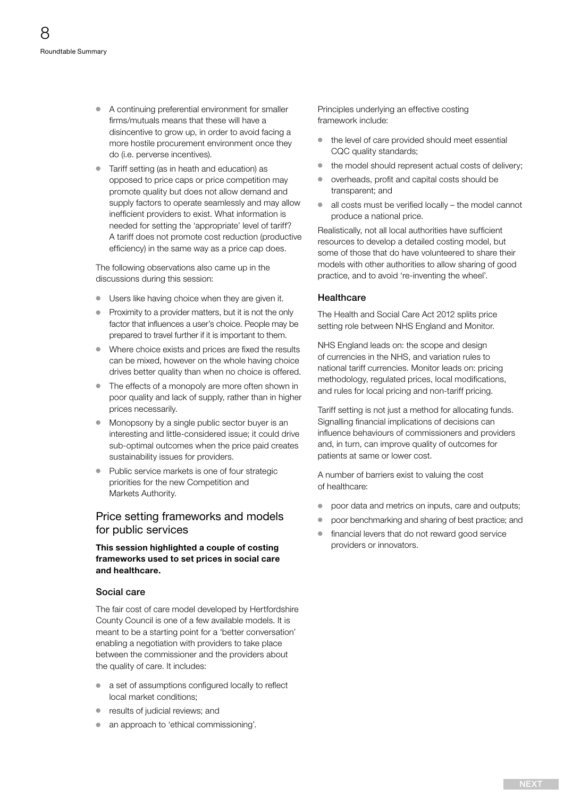- <span id="page-7-0"></span><sup>O</sup> A continuing preferential environment for smaller firms/mutuals means that these will have a disincentive to grow up, in order to avoid facing a more hostile procurement environment once they do (i.e. perverse incentives).
- Tariff setting (as in heath and education) as opposed to price caps or price competition may promote quality but does not allow demand and supply factors to operate seamlessly and may allow inefficient providers to exist. What information is needed for setting the 'appropriate' level of tariff? A tariff does not promote cost reduction (productive efficiency) in the same way as a price cap does.

The following observations also came up in the discussions during this session:

- Users like having choice when they are given it.
- Proximity to a provider matters, but it is not the only factor that influences a user's choice. People may be prepared to travel further if it is important to them.
- Where choice exists and prices are fixed the results can be mixed, however on the whole having choice drives better quality than when no choice is offered.
- $\bullet$  The effects of a monopoly are more often shown in poor quality and lack of supply, rather than in higher prices necessarily.
- Monopsony by a single public sector buyer is an interesting and little-considered issue; it could drive sub-optimal outcomes when the price paid creates sustainability issues for providers.
- Public service markets is one of four strategic priorities for the new Competition and Markets Authority.

#### Price setting frameworks and models for public services

#### This session highlighted a couple of costing frameworks used to set prices in social care and healthcare.

#### Social care

The fair cost of care model developed by Hertfordshire County Council is one of a few available models. It is meant to be a starting point for a 'better conversation' enabling a negotiation with providers to take place between the commissioner and the providers about the quality of care. It includes:

- a set of assumptions configured locally to reflect local market conditions;
- results of judicial reviews; and
- an approach to 'ethical commissioning'.

Principles underlying an effective costing framework include:

- $\bullet$  the level of care provided should meet essential CQC quality standards;
- $\bullet$  the model should represent actual costs of delivery;
- overheads, profit and capital costs should be transparent; and
- $\bullet$  all costs must be verified locally the model cannot produce a national price.

Realistically, not all local authorities have sufficient resources to develop a detailed costing model, but some of those that do have volunteered to share their models with other authorities to allow sharing of good practice, and to avoid 're-inventing the wheel'.

#### Healthcare

The Health and Social Care Act 2012 splits price setting role between NHS England and Monitor.

NHS England leads on: the scope and design of currencies in the NHS, and variation rules to national tariff currencies. Monitor leads on: pricing methodology, regulated prices, local modifications, and rules for local pricing and non-tariff pricing.

Tariff setting is not just a method for allocating funds. Signalling financial implications of decisions can influence behaviours of commissioners and providers and, in turn, can improve quality of outcomes for patients at same or lower cost.

A number of barriers exist to valuing the cost of healthcare:

- $\bullet$  poor data and metrics on inputs, care and outputs;
- poor benchmarking and sharing of best practice; and
- financial levers that do not reward good service providers or innovators.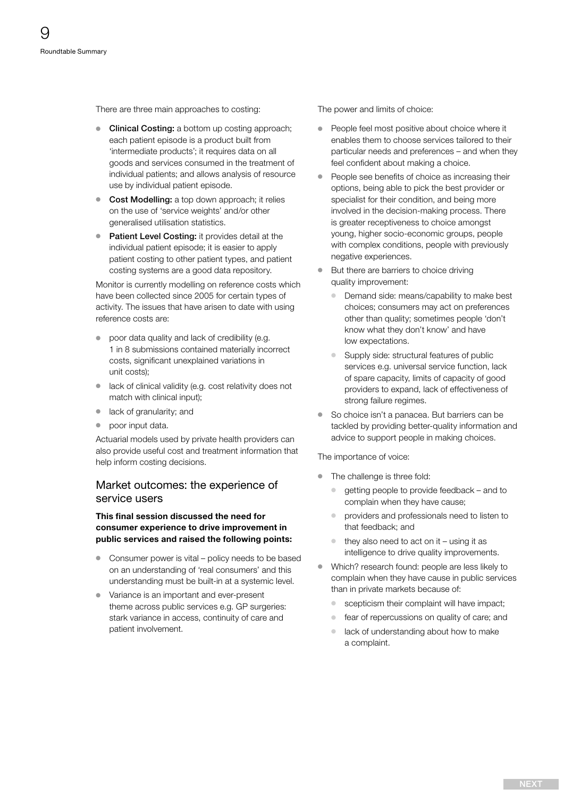<span id="page-8-0"></span>There are three main approaches to costing:

- Clinical Costing: a bottom up costing approach; each patient episode is a product built from 'intermediate products'; it requires data on all goods and services consumed in the treatment of individual patients; and allows analysis of resource use by individual patient episode.
- Cost Modelling: a top down approach; it relies on the use of 'service weights' and/or other generalised utilisation statistics.
- Patient Level Costing: it provides detail at the individual patient episode; it is easier to apply patient costing to other patient types, and patient costing systems are a good data repository.

Monitor is currently modelling on reference costs which have been collected since 2005 for certain types of activity. The issues that have arisen to date with using reference costs are:

- poor data quality and lack of credibility (e.g. 1 in 8 submissions contained materially incorrect costs, significant unexplained variations in unit costs);
- lack of clinical validity (e.g. cost relativity does not match with clinical input);
- lack of granularity; and
- poor input data.

Actuarial models used by private health providers can also provide useful cost and treatment information that help inform costing decisions.

#### Market outcomes: the experience of service users

#### This final session discussed the need for consumer experience to drive improvement in public services and raised the following points:

- $\bullet$  Consumer power is vital policy needs to be based on an understanding of 'real consumers' and this understanding must be built-in at a systemic level.
- Variance is an important and ever-present theme across public services e.g. GP surgeries: stark variance in access, continuity of care and patient involvement.

The power and limits of choice:

- People feel most positive about choice where it enables them to choose services tailored to their particular needs and preferences – and when they feel confident about making a choice.
- People see benefits of choice as increasing their options, being able to pick the best provider or specialist for their condition, and being more involved in the decision-making process. There is greater receptiveness to choice amongst young, higher socio-economic groups, people with complex conditions, people with previously negative experiences.
- But there are barriers to choice driving quality improvement:
	- Demand side: means/capability to make best choices; consumers may act on preferences other than quality; sometimes people 'don't know what they don't know' and have low expectations.
	- Supply side: structural features of public services e.g. universal service function, lack of spare capacity, limits of capacity of good providers to expand, lack of effectiveness of strong failure regimes.
- So choice isn't a panacea. But barriers can be tackled by providing better-quality information and advice to support people in making choices.

The importance of voice:

- $\bullet$  The challenge is three fold:
	- <sup>O</sup> getting people to provide feedback and to complain when they have cause;
	- providers and professionals need to listen to that feedback; and
	- $\bullet$  they also need to act on it using it as intelligence to drive quality improvements.
- <sup>O</sup> Which? research found: people are less likely to complain when they have cause in public services than in private markets because of:
	- scepticism their complaint will have impact;
	- <sup>O</sup> fear of repercussions on quality of care; and
	- lack of understanding about how to make a complaint.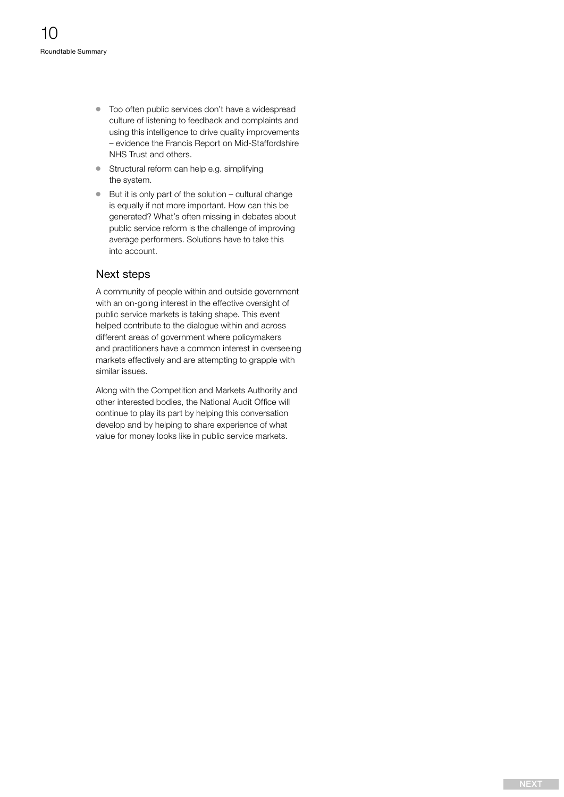- <span id="page-9-0"></span> $\bullet$  Too often public services don't have a widespread culture of listening to feedback and complaints and using this intelligence to drive quality improvements – evidence the Francis Report on Mid-Staffordshire NHS Trust and others.
- <sup>O</sup> Structural reform can help e.g. simplifying the system.
- $\bullet$  But it is only part of the solution cultural change is equally if not more important. How can this be generated? What's often missing in debates about public service reform is the challenge of improving average performers. Solutions have to take this into account.

#### Next steps

A community of people within and outside government with an on-going interest in the effective oversight of public service markets is taking shape. This event helped contribute to the dialogue within and across different areas of government where policymakers and practitioners have a common interest in overseeing markets effectively and are attempting to grapple with similar issues.

Along with the Competition and Markets Authority and other interested bodies, the National Audit Office will continue to play its part by helping this conversation develop and by helping to share experience of what value for money looks like in public service markets.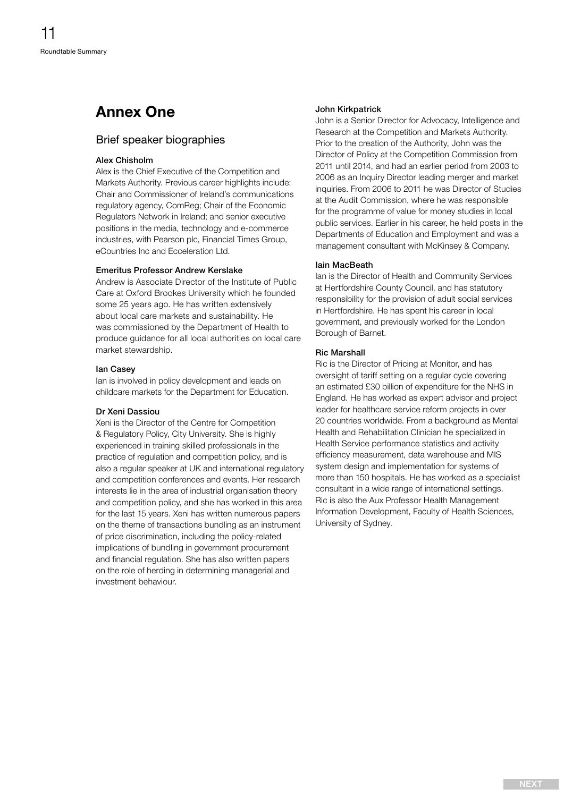# <span id="page-10-0"></span>Annex One

#### Brief speaker biographies

#### Alex Chisholm

Alex is the Chief Executive of the Competition and Markets Authority. Previous career highlights include: Chair and Commissioner of Ireland's communications regulatory agency, ComReg; Chair of the Economic Regulators Network in Ireland; and senior executive positions in the media, technology and e-commerce industries, with Pearson plc, Financial Times Group, eCountries Inc and Ecceleration Ltd.

#### Emeritus Professor Andrew Kerslake

Andrew is Associate Director of the Institute of Public Care at Oxford Brookes University which he founded some 25 years ago. He has written extensively about local care markets and sustainability. He was commissioned by the Department of Health to produce guidance for all local authorities on local care market stewardship.

#### Ian Casey

Ian is involved in policy development and leads on childcare markets for the Department for Education.

#### Dr Xeni Dassiou

Xeni is the Director of the Centre for Competition & Regulatory Policy, City University. She is highly experienced in training skilled professionals in the practice of regulation and competition policy, and is also a regular speaker at UK and international regulatory and competition conferences and events. Her research interests lie in the area of industrial organisation theory and competition policy, and she has worked in this area for the last 15 years. Xeni has written numerous papers on the theme of transactions bundling as an instrument of price discrimination, including the policy-related implications of bundling in government procurement and financial regulation. She has also written papers on the role of herding in determining managerial and investment behaviour.

#### John Kirkpatrick

John is a Senior Director for Advocacy, Intelligence and Research at the Competition and Markets Authority. Prior to the creation of the Authority, John was the Director of Policy at the Competition Commission from 2011 until 2014, and had an earlier period from 2003 to 2006 as an Inquiry Director leading merger and market inquiries. From 2006 to 2011 he was Director of Studies at the Audit Commission, where he was responsible for the programme of value for money studies in local public services. Earlier in his career, he held posts in the Departments of Education and Employment and was a management consultant with McKinsey & Company.

#### Iain MacBeath

Ian is the Director of Health and Community Services at Hertfordshire County Council, and has statutory responsibility for the provision of adult social services in Hertfordshire. He has spent his career in local government, and previously worked for the London Borough of Barnet.

#### Ric Marshall

Ric is the Director of Pricing at Monitor, and has oversight of tariff setting on a regular cycle covering an estimated £30 billion of expenditure for the NHS in England. He has worked as expert advisor and project leader for healthcare service reform projects in over 20 countries worldwide. From a background as Mental Health and Rehabilitation Clinician he specialized in Health Service performance statistics and activity efficiency measurement, data warehouse and MIS system design and implementation for systems of more than 150 hospitals. He has worked as a specialist consultant in a wide range of international settings. Ric is also the Aux Professor Health Management Information Development, Faculty of Health Sciences, University of Sydney.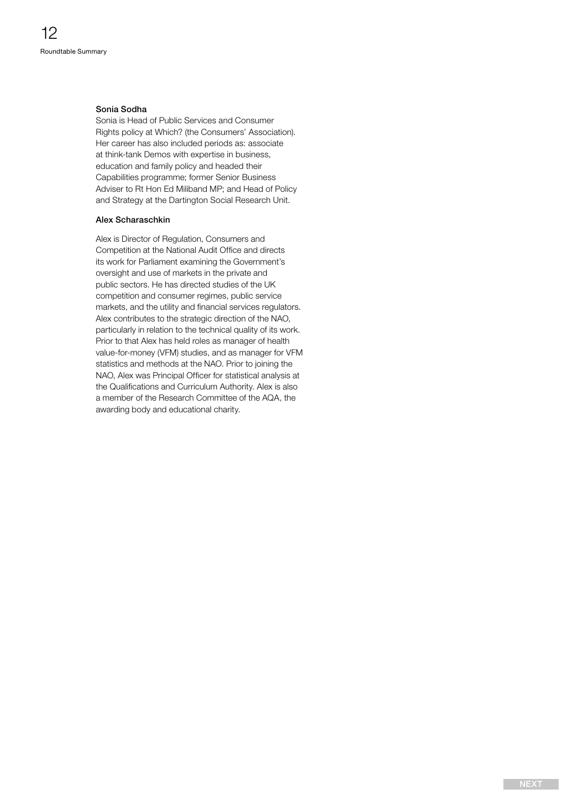#### <span id="page-11-0"></span>Sonia Sodha

Sonia is Head of Public Services and Consumer Rights policy at Which? (the Consumers' Association). Her career has also included periods as: associate at think-tank Demos with expertise in business, education and family policy and headed their Capabilities programme; former Senior Business Adviser to Rt Hon Ed Miliband MP; and Head of Policy and Strategy at the Dartington Social Research Unit.

#### Alex Scharaschkin

Alex is Director of Regulation, Consumers and Competition at the National Audit Office and directs its work for Parliament examining the Government's oversight and use of markets in the private and public sectors. He has directed studies of the UK competition and consumer regimes, public service markets, and the utility and financial services regulators. Alex contributes to the strategic direction of the NAO, particularly in relation to the technical quality of its work. Prior to that Alex has held roles as manager of health value-for-money (VFM) studies, and as manager for VFM statistics and methods at the NAO. Prior to joining the NAO, Alex was Principal Officer for statistical analysis at the Qualifications and Curriculum Authority. Alex is also a member of the Research Committee of the AQA, the awarding body and educational charity.